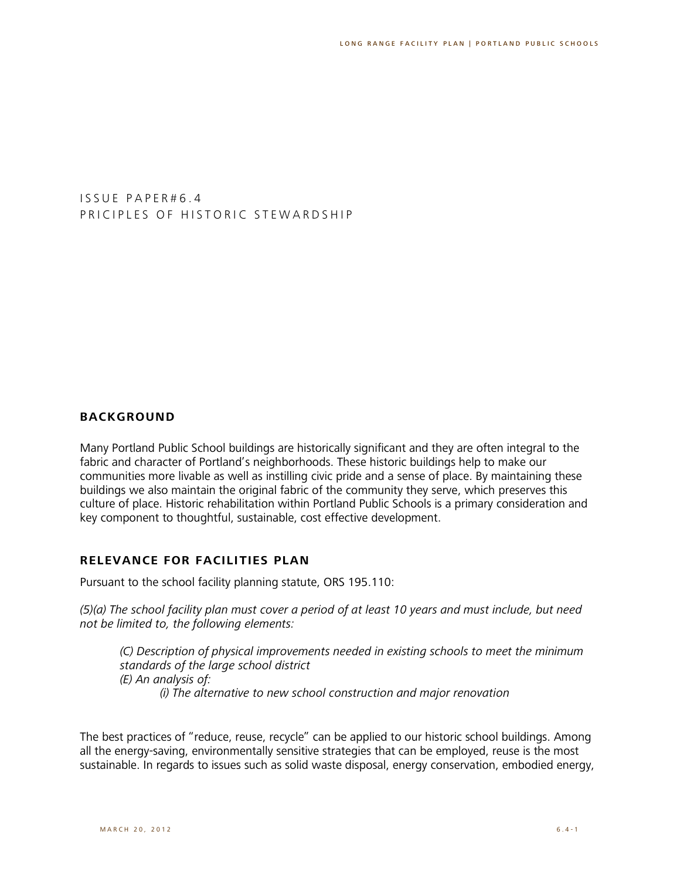I S S U E P A P E R # 6 . 4 PRICIPLES OF HISTORIC STEWARDSHIP

### **BACKGROUND**

Many Portland Public School buildings are historically significant and they are often integral to the fabric and character of Portland's neighborhoods. These historic buildings help to make our communities more livable as well as instilling civic pride and a sense of place. By maintaining these buildings we also maintain the original fabric of the community they serve, which preserves this culture of place. Historic rehabilitation within Portland Public Schools is a primary consideration and key component to thoughtful, sustainable, cost effective development.

#### **RELEVANCE FOR FACILITIES PLAN**

Pursuant to the school facility planning statute, ORS 195.110:

*(5)(a) The school facility plan must cover a period of at least 10 years and must include, but need not be limited to, the following elements:*

*(C) Description of physical improvements needed in existing schools to meet the minimum standards of the large school district (E) An analysis of: (i) The alternative to new school construction and major renovation*

The best practices of "reduce, reuse, recycle" can be applied to our historic school buildings. Among all the energy-saving, environmentally sensitive strategies that can be employed, reuse is the most sustainable. In regards to issues such as solid waste disposal, energy conservation, embodied energy,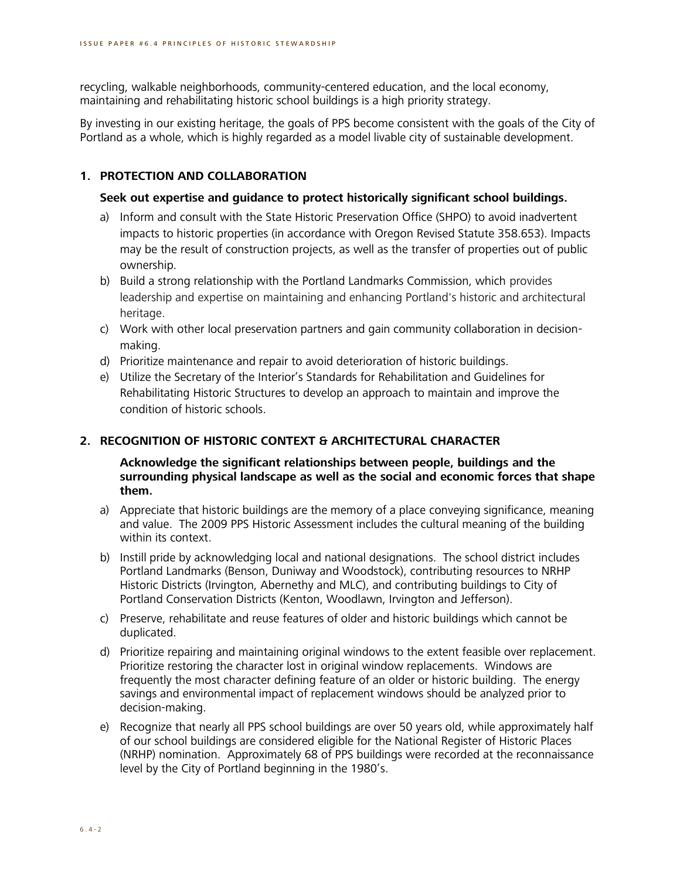recycling, walkable neighborhoods, community-centered education, and the local economy, maintaining and rehabilitating historic school buildings is a high priority strategy.

By investing in our existing heritage, the goals of PPS become consistent with the goals of the City of Portland as a whole, which is highly regarded as a model livable city of sustainable development.

# **1. PROTECTION AND COLLABORATION**

# **Seek out expertise and guidance to protect historically significant school buildings.**

- a) Inform and consult with the State Historic Preservation Office (SHPO) to avoid inadvertent impacts to historic properties (in accordance with Oregon Revised Statute 358.653). Impacts may be the result of construction projects, as well as the transfer of properties out of public ownership.
- b) Build a strong relationship with the Portland Landmarks Commission, which provides leadership and expertise on maintaining and enhancing Portland's historic and architectural heritage.
- c) Work with other local preservation partners and gain community collaboration in decisionmaking.
- d) Prioritize maintenance and repair to avoid deterioration of historic buildings.
- e) Utilize the Secretary of the Interior's Standards for Rehabilitation and Guidelines for Rehabilitating Historic Structures to develop an approach to maintain and improve the condition of historic schools.

# **2. RECOGNITION OF HISTORIC CONTEXT & ARCHITECTURAL CHARACTER**

**Acknowledge the significant relationships between people, buildings and the surrounding physical landscape as well as the social and economic forces that shape them.**

- a) Appreciate that historic buildings are the memory of a place conveying significance, meaning and value. The 2009 PPS Historic Assessment includes the cultural meaning of the building within its context.
- b) Instill pride by acknowledging local and national designations. The school district includes Portland Landmarks (Benson, Duniway and Woodstock), contributing resources to NRHP Historic Districts (Irvington, Abernethy and MLC), and contributing buildings to City of Portland Conservation Districts (Kenton, Woodlawn, Irvington and Jefferson).
- c) Preserve, rehabilitate and reuse features of older and historic buildings which cannot be duplicated.
- d) Prioritize repairing and maintaining original windows to the extent feasible over replacement. Prioritize restoring the character lost in original window replacements. Windows are frequently the most character defining feature of an older or historic building. The energy savings and environmental impact of replacement windows should be analyzed prior to decision-making.
- e) Recognize that nearly all PPS school buildings are over 50 years old, while approximately half of our school buildings are considered eligible for the National Register of Historic Places (NRHP) nomination. Approximately 68 of PPS buildings were recorded at the reconnaissance level by the City of Portland beginning in the 1980's.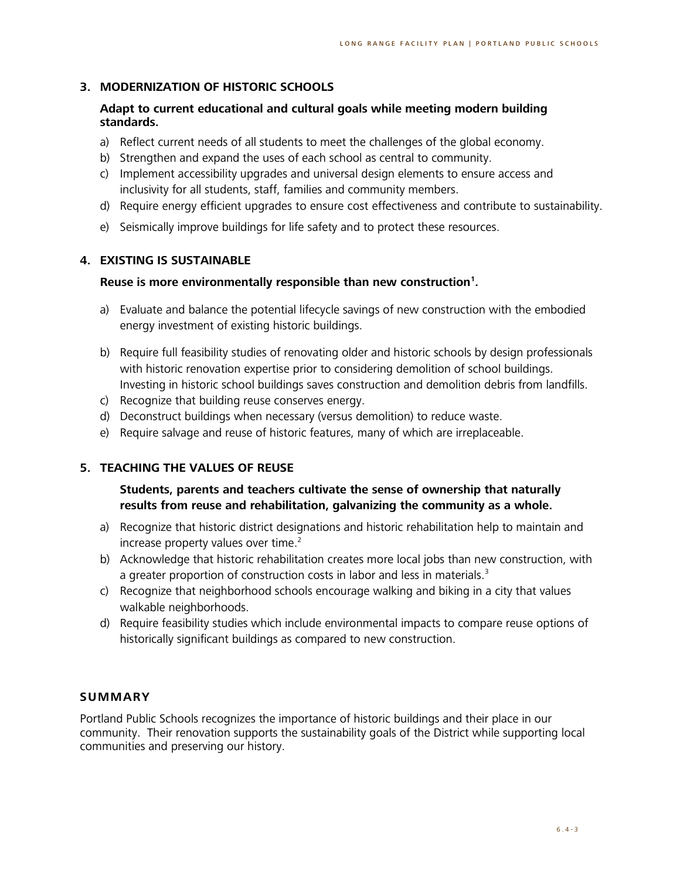# **3. MODERNIZATION OF HISTORIC SCHOOLS**

### **Adapt to current educational and cultural goals while meeting modern building standards.**

- a) Reflect current needs of all students to meet the challenges of the global economy.
- b) Strengthen and expand the uses of each school as central to community.
- c) Implement accessibility upgrades and universal design elements to ensure access and inclusivity for all students, staff, families and community members.
- d) Require energy efficient upgrades to ensure cost effectiveness and contribute to sustainability.
- e) Seismically improve buildings for life safety and to protect these resources.

### **4. EXISTING IS SUSTAINABLE**

### **Reuse is more environmentally responsible than new construction<sup>1</sup> .**

- a) Evaluate and balance the potential lifecycle savings of new construction with the embodied energy investment of existing historic buildings.
- b) Require full feasibility studies of renovating older and historic schools by design professionals with historic renovation expertise prior to considering demolition of school buildings. Investing in historic school buildings saves construction and demolition debris from landfills.
- c) Recognize that building reuse conserves energy.
- d) Deconstruct buildings when necessary (versus demolition) to reduce waste.
- e) Require salvage and reuse of historic features, many of which are irreplaceable.

## **5. TEACHING THE VALUES OF REUSE**

## **Students, parents and teachers cultivate the sense of ownership that naturally results from reuse and rehabilitation, galvanizing the community as a whole.**

- a) Recognize that historic district designations and historic rehabilitation help to maintain and increase property values over time.<sup>2</sup>
- b) Acknowledge that historic rehabilitation creates more local jobs than new construction, with a greater proportion of construction costs in labor and less in materials.<sup>3</sup>
- c) Recognize that neighborhood schools encourage walking and biking in a city that values walkable neighborhoods.
- d) Require feasibility studies which include environmental impacts to compare reuse options of historically significant buildings as compared to new construction.

### **SUMMARY**

Portland Public Schools recognizes the importance of historic buildings and their place in our community. Their renovation supports the sustainability goals of the District while supporting local communities and preserving our history.